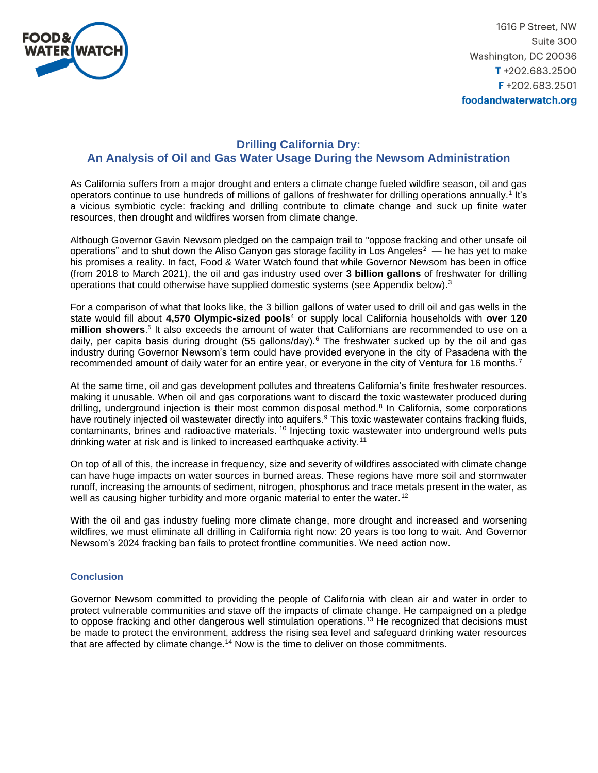

1616 P Street, NW Suite 300 Washington, DC 20036 T+202.683.2500 F+202.683.2501 foodandwaterwatch.org

## **Drilling California Dry: An Analysis of Oil and Gas Water Usage During the Newsom Administration**

As California suffers from a major drought and enters a climate change fueled wildfire season, oil and gas operators continue to use hundreds of millions of gallons of freshwater for drilling operations annually.<sup>1</sup> It's a vicious symbiotic cycle: fracking and drilling contribute to climate change and suck up finite water resources, then drought and wildfires worsen from climate change.

Although Governor Gavin Newsom pledged on the campaign trail to "oppose fracking and other unsafe oil operations" and to shut down the Aliso Canyon gas storage facility in Los Angeles $^2$  — he has yet to make his promises a reality. In fact, Food & Water Watch found that while Governor Newsom has been in office (from 2018 to March 2021), the oil and gas industry used over **3 billion gallons** of freshwater for drilling operations that could otherwise have supplied domestic systems (see Appendix below). $3$ 

For a comparison of what that looks like, the 3 billion gallons of water used to drill oil and gas wells in the state would fill about **4,570 Olympic-sized pools**<sup>4</sup> or supply local California households with **over 120 million showers**. 5 It also exceeds the amount of water that Californians are recommended to use on a daily, per capita basis during drought (55 gallons/day).<sup>6</sup> The freshwater sucked up by the oil and gas industry during Governor Newsom's term could have provided everyone in the city of Pasadena with the recommended amount of daily water for an entire year, or everyone in the city of Ventura for 16 months.<sup>7</sup>

At the same time, oil and gas development pollutes and threatens California's finite freshwater resources. making it unusable. When oil and gas corporations want to discard the toxic wastewater produced during drilling, underground injection is their most common disposal method.<sup>8</sup> In California, some corporations have routinely injected oil wastewater directly into aquifers.<sup>9</sup> This toxic wastewater contains fracking fluids, contaminants, brines and radioactive materials.<sup>10</sup> Injecting toxic wastewater into underground wells puts drinking water at risk and is linked to increased earthquake activity.<sup>11</sup>

On top of all of this, the increase in frequency, size and severity of wildfires associated with climate change can have huge impacts on water sources in burned areas. These regions have more soil and stormwater runoff, increasing the amounts of sediment, nitrogen, phosphorus and trace metals present in the water, as well as causing higher turbidity and more organic material to enter the water.<sup>12</sup>

With the oil and gas industry fueling more climate change, more drought and increased and worsening wildfires, we must eliminate all drilling in California right now: 20 years is too long to wait. And Governor Newsom's 2024 fracking ban fails to protect frontline communities. We need action now.

## **Conclusion**

Governor Newsom committed to providing the people of California with clean air and water in order to protect vulnerable communities and stave off the impacts of climate change. He campaigned on a pledge to oppose fracking and other dangerous well stimulation operations.<sup>13</sup> He recognized that decisions must be made to protect the environment, address the rising sea level and safeguard drinking water resources that are affected by climate change.<sup>14</sup> Now is the time to deliver on those commitments.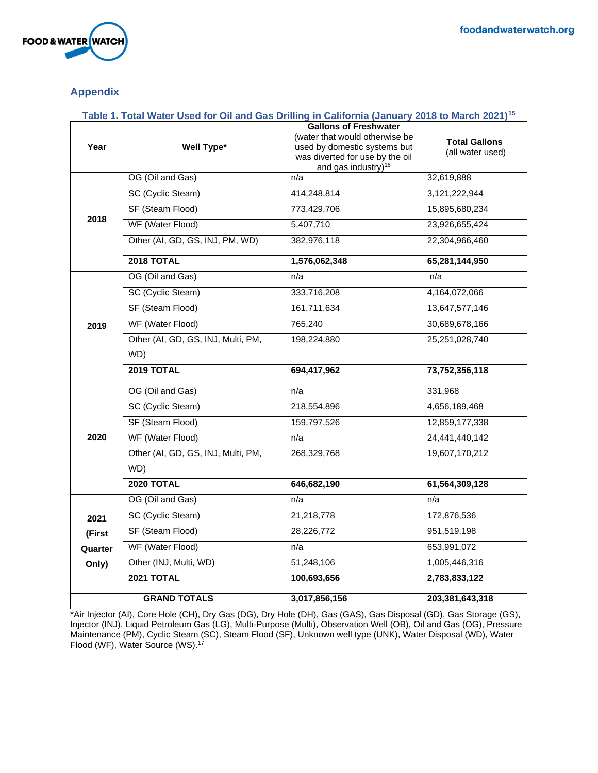

## **Appendix**

| Table 1. Total Water Used for Oil and Gas Drilling in California (January 2018 to March 2021) <sup>15</sup> |                                           |                                                                                                                                                                      |                                          |
|-------------------------------------------------------------------------------------------------------------|-------------------------------------------|----------------------------------------------------------------------------------------------------------------------------------------------------------------------|------------------------------------------|
| Year                                                                                                        | Well Type*                                | <b>Gallons of Freshwater</b><br>(water that would otherwise be<br>used by domestic systems but<br>was diverted for use by the oil<br>and gas industry) <sup>16</sup> | <b>Total Gallons</b><br>(all water used) |
|                                                                                                             | OG (Oil and Gas)                          | n/a                                                                                                                                                                  | 32,619,888                               |
| 2018                                                                                                        | SC (Cyclic Steam)                         | 414,248,814                                                                                                                                                          | 3,121,222,944                            |
|                                                                                                             | SF (Steam Flood)                          | 773,429,706                                                                                                                                                          | 15,895,680,234                           |
|                                                                                                             | WF (Water Flood)                          | 5,407,710                                                                                                                                                            | 23,926,655,424                           |
|                                                                                                             | Other (AI, GD, GS, INJ, PM, WD)           | 382,976,118                                                                                                                                                          | 22,304,966,460                           |
| 2019                                                                                                        | <b>2018 TOTAL</b>                         | 1,576,062,348                                                                                                                                                        | 65,281,144,950                           |
|                                                                                                             | OG (Oil and Gas)                          | n/a                                                                                                                                                                  | n/a                                      |
|                                                                                                             | SC (Cyclic Steam)                         | 333,716,208                                                                                                                                                          | 4,164,072,066                            |
|                                                                                                             | SF (Steam Flood)                          | 161,711,634                                                                                                                                                          | 13,647,577,146                           |
|                                                                                                             | WF (Water Flood)                          | 765,240                                                                                                                                                              | 30,689,678,166                           |
|                                                                                                             | Other (AI, GD, GS, INJ, Multi, PM,<br>WD) | 198,224,880                                                                                                                                                          | 25, 251, 028, 740                        |
| 2020                                                                                                        | 2019 TOTAL                                | 694,417,962                                                                                                                                                          | 73,752,356,118                           |
|                                                                                                             | OG (Oil and Gas)                          | n/a                                                                                                                                                                  | 331,968                                  |
|                                                                                                             | SC (Cyclic Steam)                         | 218,554,896                                                                                                                                                          | 4,656,189,468                            |
|                                                                                                             | SF (Steam Flood)                          | 159,797,526                                                                                                                                                          | 12,859,177,338                           |
|                                                                                                             | WF (Water Flood)                          | n/a                                                                                                                                                                  | 24,441,440,142                           |
|                                                                                                             | Other (AI, GD, GS, INJ, Multi, PM,<br>WD) | 268,329,768                                                                                                                                                          | 19,607,170,212                           |
|                                                                                                             | <b>2020 TOTAL</b>                         | 646,682,190                                                                                                                                                          | 61,564,309,128                           |
|                                                                                                             | OG (Oil and Gas)                          | n/a                                                                                                                                                                  | n/a                                      |
|                                                                                                             | SC (Cyclic Steam)                         | 21,218,778                                                                                                                                                           | 172,876,536                              |
| 2021                                                                                                        | SF (Steam Flood)                          | 28,226,772                                                                                                                                                           | 951,519,198                              |
| (First<br>Quarter                                                                                           | WF (Water Flood)                          | n/a                                                                                                                                                                  | 653,991,072                              |
| Only)                                                                                                       | Other (INJ, Multi, WD)                    | 51,248,106                                                                                                                                                           | 1,005,446,316                            |
|                                                                                                             | <b>2021 TOTAL</b>                         | 100,693,656                                                                                                                                                          | 2,783,833,122                            |
| <b>GRAND TOTALS</b>                                                                                         |                                           | 3,017,856,156                                                                                                                                                        | 203,381,643,318                          |

\*Air Injector (AI), Core Hole (CH), Dry Gas (DG), Dry Hole (DH), Gas (GAS), Gas Disposal (GD), Gas Storage (GS), Injector (INJ), Liquid Petroleum Gas (LG), Multi-Purpose (Multi), Observation Well (OB), Oil and Gas (OG), Pressure Maintenance (PM), Cyclic Steam (SC), Steam Flood (SF), Unknown well type (UNK), Water Disposal (WD), Water Flood (WF), Water Source (WS).<sup>17</sup>